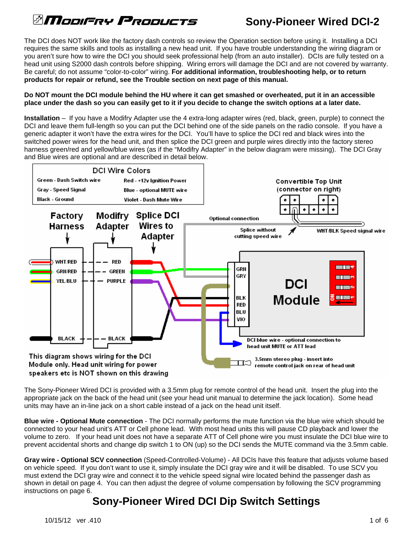

The DCI does NOT work like the factory dash controls so review the Operation section before using it. Installing a DCI requires the same skills and tools as installing a new head unit. If you have trouble understanding the wiring diagram or you aren't sure how to wire the DCI you should seek professional help (from an auto installer). DCIs are fully tested on a head unit using S2000 dash controls before shipping. Wiring errors will damage the DCI and are not covered by warranty. Be careful; do not assume "color-to-color" wiring. **For additional information, troubleshooting help, or to return products for repair or refund, see the Trouble section on next page of this manual.** 

#### **Do NOT mount the DCI module behind the HU where it can get smashed or overheated, put it in an accessible place under the dash so you can easily get to it if you decide to change the switch options at a later date.**

**Installation** – If you have a Modifry Adapter use the 4 extra-long adapter wires (red, black, green, purple) to connect the DCI and leave them full-length so you can put the DCI behind one of the side panels on the radio console. If you have a generic adapter it won't have the extra wires for the DCI. You'll have to splice the DCI red and black wires into the switched power wires for the head unit, and then splice the DCI green and purple wires directly into the factory stereo harness green/red and yellow/blue wires (as if the "Modifry Adapter" in the below diagram were missing). The DCI Gray and Blue wires are optional and are described in detail below.



The Sony-Pioneer Wired DCI is provided with a 3.5mm plug for remote control of the head unit. Insert the plug into the appropriate jack on the back of the head unit (see your head unit manual to determine the jack location). Some head units may have an in-line jack on a short cable instead of a jack on the head unit itself.

**Blue wire - Optional Mute connection** - The DCI normally performs the mute function via the blue wire which should be connected to your head unit's ATT or Cell phone lead. With most head units this will pause CD playback and lower the volume to zero. If your head unit does not have a separate ATT of Cell phone wire you must insulate the DCI blue wire to prevent accidental shorts and change dip switch 1 to ON (up) so the DCI sends the MUTE command via the 3.5mm cable.

**Gray wire - Optional SCV connection** (Speed-Controlled-Volume) - All DCIs have this feature that adjusts volume based on vehicle speed. If you don't want to use it, simply insulate the DCI gray wire and it will be disabled. To use SCV you must extend the DCI gray wire and connect it to the vehicle speed signal wire located behind the passenger dash as shown in detail on page 4. You can then adjust the degree of volume compensation by following the SCV programming instructions on page 6.

# **Sony-Pioneer Wired DCI Dip Switch Settings**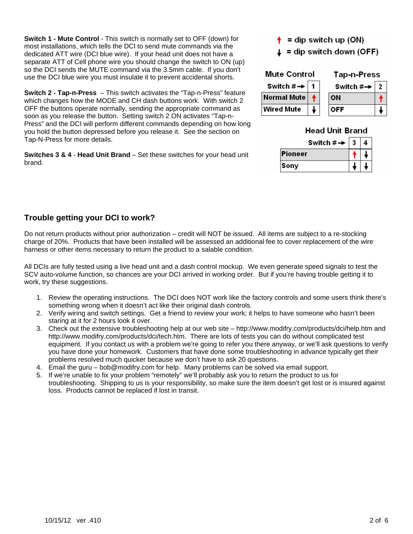**Switch 1 - Mute Control** - This switch is normally set to OFF (down) for most installations, which tells the DCI to send mute commands via the dedicated ATT wire (DCI blue wire). If your head unit does not have a separate ATT of Cell phone wire you should change the switch to ON (up) so the DCI sends the MUTE command via the 3.5mm cable. If you don't use the DCI blue wire you must insulate it to prevent accidental shorts.

**Switch 2 - Tap-n-Press** – This switch activates the "Tap-n-Press" feature which changes how the MODE and CH dash buttons work. With switch 2 OFF the buttons operate normally, sending the appropriate command as soon as you release the button. Setting switch 2 ON activates "Tap-n-Press" and the DCI will perform different commands depending on how long you hold the button depressed before you release it. See the section on Tap-N-Press for more details.

**Switches 3 & 4** - **Head Unit Brand** – Set these switches for your head unit brand.

- $=$  dip switch up (ON)
- $=$  dip switch down (OFF)

| <b>Mute Control</b>         | Tap-n-Press                |  |  |  |
|-----------------------------|----------------------------|--|--|--|
| Switch $\# \rightarrow   1$ | Switch $\# \rightarrow  2$ |  |  |  |
| Normal Mute                 | ON                         |  |  |  |
| <b>Wired Mute</b>           | <b>OFF</b>                 |  |  |  |

### **Head Unit Brand**

| Switch $# \rightarrow$ |  |
|------------------------|--|
| Pioneer                |  |
| Sony                   |  |

### **Trouble getting your DCI to work?**

Do not return products without prior authorization – credit will NOT be issued. All items are subject to a re-stocking charge of 20%. Products that have been installed will be assessed an additional fee to cover replacement of the wire harness or other items necessary to return the product to a salable condition.

All DCIs are fully tested using a live head unit and a dash control mockup. We even generate speed signals to test the SCV auto-volume function, so chances are your DCI arrived in working order. But if you're having trouble getting it to work, try these suggestions.

- 1. Review the operating instructions. The DCI does NOT work like the factory controls and some users think there's something wrong when it doesn't act like their original dash controls.
- 2. Verify wiring and switch settings. Get a friend to review your work; it helps to have someone who hasn't been staring at it for 2 hours look it over.
- 3. Check out the extensive troubleshooting help at our web site http://www.modifry.com/products/dci/help.htm and http://www.modifry.com/products/dci/tech.htm. There are lots of tests you can do without complicated test equipment. If you contact us with a problem we're going to refer you there anyway, or we'll ask questions to verify you have done your homework. Customers that have done some troubleshooting in advance typically get their problems resolved much quicker because we don't have to ask 20 questions.
- 4. Email the guru bob@modifry.com for help. Many problems can be solved via email support.
- 5. If we're unable to fix your problem "remotely" we'll probably ask you to return the product to us for troubleshooting. Shipping to us is your responsibility, so make sure the item doesn't get lost or is insured against loss. Products cannot be replaced if lost in transit.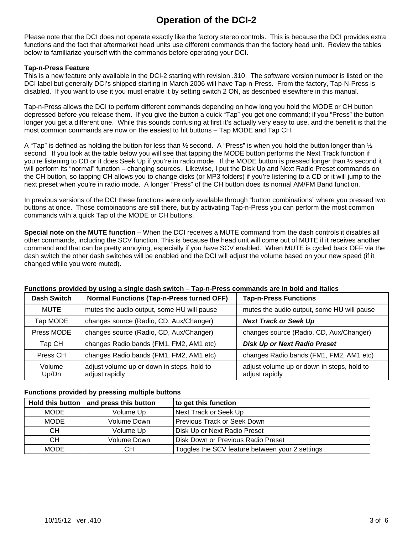# **Operation of the DCI-2**

Please note that the DCI does not operate exactly like the factory stereo controls. This is because the DCI provides extra functions and the fact that aftermarket head units use different commands than the factory head unit. Review the tables below to familiarize yourself with the commands before operating your DCI.

#### **Tap-n-Press Feature**

This is a new feature only available in the DCI-2 starting with revision .310. The software version number is listed on the DCI label but generally DCI's shipped starting in March 2006 will have Tap-n-Press. From the factory, Tap-N-Press is disabled. If you want to use it you must enable it by setting switch 2 ON, as described elsewhere in this manual.

Tap-n-Press allows the DCI to perform different commands depending on how long you hold the MODE or CH button depressed before you release them. If you give the button a quick "Tap" you get one command; if you "Press" the button longer you get a different one. While this sounds confusing at first it's actually very easy to use, and the benefit is that the most common commands are now on the easiest to hit buttons – Tap MODE and Tap CH.

A "Tap" is defined as holding the button for less than  $\frac{1}{2}$  second. A "Press" is when you hold the button longer than  $\frac{1}{2}$ second. If you look at the table below you will see that tapping the MODE button performs the Next Track function if you're listening to CD or it does Seek Up if you're in radio mode. If the MODE button is pressed longer than ½ second it will perform its "normal" function – changing sources. Likewise, I put the Disk Up and Next Radio Preset commands on the CH button, so tapping CH allows you to change disks (or MP3 folders) if you're listening to a CD or it will jump to the next preset when you're in radio mode. A longer "Press" of the CH button does its normal AM/FM Band function.

In previous versions of the DCI these functions were only available through "button combinations" where you pressed two buttons at once. Those combinations are still there, but by activating Tap-n-Press you can perform the most common commands with a quick Tap of the MODE or CH buttons.

**Special note on the MUTE function** – When the DCI receives a MUTE command from the dash controls it disables all other commands, including the SCV function. This is because the head unit will come out of MUTE if it receives another command and that can be pretty annoying, especially if you have SCV enabled. When MUTE is cycled back OFF via the dash switch the other dash switches will be enabled and the DCI will adjust the volume based on your new speed (if it changed while you were muted).

| <b>Dash Switch</b> | <b>Normal Functions (Tap-n-Press turned OFF)</b>             | <b>Tap-n-Press Functions</b>                                 |
|--------------------|--------------------------------------------------------------|--------------------------------------------------------------|
| MUTE               | mutes the audio output, some HU will pause                   | mutes the audio output, some HU will pause                   |
| Tap MODE           | changes source (Radio, CD, Aux/Changer)                      | <b>Next Track or Seek Up</b>                                 |
| Press MODE         | changes source (Radio, CD, Aux/Changer)                      | changes source (Radio, CD, Aux/Changer)                      |
| Tap CH             | changes Radio bands (FM1, FM2, AM1 etc)                      | <b>Disk Up or Next Radio Preset</b>                          |
| Press CH           | changes Radio bands (FM1, FM2, AM1 etc)                      | changes Radio bands (FM1, FM2, AM1 etc)                      |
| Volume<br>Up/Dn    | adjust volume up or down in steps, hold to<br>adjust rapidly | adjust volume up or down in steps, hold to<br>adjust rapidly |

### **Functions provided by using a single dash switch – Tap-n-Press commands are in bold and italics**

#### **Functions provided by pressing multiple buttons**

|             | Hold this button and press this button | to get this function                            |
|-------------|----------------------------------------|-------------------------------------------------|
| <b>MODE</b> | Volume Up                              | Next Track or Seek Up                           |
| <b>MODE</b> | Volume Down                            | <b>Previous Track or Seek Down</b>              |
| СH          | Volume Up                              | Disk Up or Next Radio Preset                    |
| <b>CH</b>   | Volume Down                            | Disk Down or Previous Radio Preset              |
| <b>MODE</b> | CН                                     | Toggles the SCV feature between your 2 settings |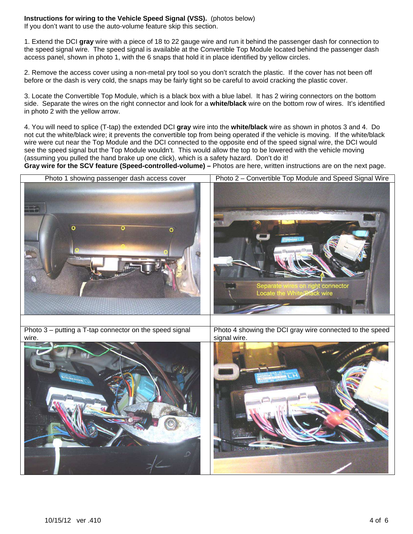### **Instructions for wiring to the Vehicle Speed Signal (VSS).** (photos below)

If you don't want to use the auto-volume feature skip this section.

1. Extend the DCI **gray** wire with a piece of 18 to 22 gauge wire and run it behind the passenger dash for connection to the speed signal wire. The speed signal is available at the Convertible Top Module located behind the passenger dash access panel, shown in photo 1, with the 6 snaps that hold it in place identified by yellow circles.

2. Remove the access cover using a non-metal pry tool so you don't scratch the plastic. If the cover has not been off before or the dash is very cold, the snaps may be fairly tight so be careful to avoid cracking the plastic cover.

3. Locate the Convertible Top Module, which is a black box with a blue label. It has 2 wiring connectors on the bottom side. Separate the wires on the right connector and look for a **white/black** wire on the bottom row of wires. It's identified in photo 2 with the yellow arrow.

4. You will need to splice (T-tap) the extended DCI **gray** wire into the **white/black** wire as shown in photos 3 and 4. Do not cut the white/black wire; it prevents the convertible top from being operated if the vehicle is moving. If the white/black wire were cut near the Top Module and the DCI connected to the opposite end of the speed signal wire, the DCI would see the speed signal but the Top Module wouldn't. This would allow the top to be lowered with the vehicle moving (assuming you pulled the hand brake up one click), which is a safety hazard. Don't do it!

**Gray wire for the SCV feature (Speed-controlled-volume) –** Photos are here, written instructions are on the next page.



Photo 3 – putting a T-tap connector on the speed signal wire. Photo 4 showing the DCI gray wire connected to the speed signal wire.

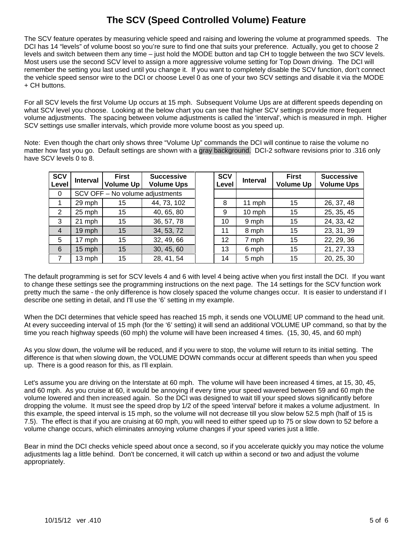## **The SCV (Speed Controlled Volume) Feature**

The SCV feature operates by measuring vehicle speed and raising and lowering the volume at programmed speeds. The DCI has 14 "levels" of volume boost so you're sure to find one that suits your preference. Actually, you get to choose 2 levels and switch between them any time – just hold the MODE button and tap CH to toggle between the two SCV levels. Most users use the second SCV level to assign a more aggressive volume setting for Top Down driving. The DCI will remember the setting you last used until you change it. If you want to completely disable the SCV function, don't connect the vehicle speed sensor wire to the DCI or choose Level 0 as one of your two SCV settings and disable it via the MODE + CH buttons.

For all SCV levels the first Volume Up occurs at 15 mph. Subsequent Volume Ups are at different speeds depending on what SCV level you choose. Looking at the below chart you can see that higher SCV settings provide more frequent volume adjustments. The spacing between volume adjustments is called the 'interval', which is measured in mph. Higher SCV settings use smaller intervals, which provide more volume boost as you speed up.

Note: Even though the chart only shows three "Volume Up" commands the DCI will continue to raise the volume no matter how fast you go. Default settings are shown with a gray background. DCI-2 software revisions prior to .316 only have SCV levels 0 to 8.

| <b>SCV</b><br>Level | <b>Interval</b>                 | <b>First</b><br><b>Volume Up</b> | <b>Successive</b><br><b>Volume Ups</b> | <b>SCV</b><br>Level | <b>Interval</b> | <b>First</b><br><b>Volume Up</b> | <b>Successive</b><br><b>Volume Ups</b> |
|---------------------|---------------------------------|----------------------------------|----------------------------------------|---------------------|-----------------|----------------------------------|----------------------------------------|
| 0                   | SCV OFF - No volume adjustments |                                  |                                        |                     |                 |                                  |                                        |
|                     | 29 mph                          | 15                               | 44, 73, 102                            | 8                   | 11 mph          | 15                               | 26, 37, 48                             |
| 2                   | 25 mph                          | 15                               | 40, 65, 80                             | 9                   | 10 mph          | 15                               | 25, 35, 45                             |
| 3                   | 21 mph                          | 15                               | 36, 57, 78                             | 10                  | 9 mph           | 15                               | 24, 33, 42                             |
| $\overline{4}$      | 19 mph                          | 15                               | 34, 53, 72                             | 11                  | 8 mph           | 15                               | 23, 31, 39                             |
| 5                   | 17 mph                          | 15                               | 32, 49, 66                             | 12 <sup>2</sup>     | 7 mph           | 15                               | 22, 29, 36                             |
| 6                   | 15 mph                          | 15                               | 30, 45, 60                             | 13                  | 6 mph           | 15                               | 21, 27, 33                             |
| $\overline{7}$      | 13 mph                          | 15                               | 28, 41, 54                             | 14                  | 5 mph           | 15                               | 20, 25, 30                             |

The default programming is set for SCV levels 4 and 6 with level 4 being active when you first install the DCI. If you want to change these settings see the programming instructions on the next page. The 14 settings for the SCV function work pretty much the same - the only difference is how closely spaced the volume changes occur. It is easier to understand if I describe one setting in detail, and I'll use the '6' setting in my example.

When the DCI determines that vehicle speed has reached 15 mph, it sends one VOLUME UP command to the head unit. At every succeeding interval of 15 mph (for the '6' setting) it will send an additional VOLUME UP command, so that by the time you reach highway speeds (60 mph) the volume will have been increased 4 times. (15, 30, 45, and 60 mph)

As you slow down, the volume will be reduced, and if you were to stop, the volume will return to its initial setting. The difference is that when slowing down, the VOLUME DOWN commands occur at different speeds than when you speed up. There is a good reason for this, as I'll explain.

Let's assume you are driving on the Interstate at 60 mph. The volume will have been increased 4 times, at 15, 30, 45, and 60 mph. As you cruise at 60, it would be annoying if every time your speed wavered between 59 and 60 mph the volume lowered and then increased again. So the DCI was designed to wait till your speed slows significantly before dropping the volume. It must see the speed drop by 1/2 of the speed 'interval' before it makes a volume adjustment. In this example, the speed interval is 15 mph, so the volume will not decrease till you slow below 52.5 mph (half of 15 is 7.5). The effect is that if you are cruising at 60 mph, you will need to either speed up to 75 or slow down to 52 before a volume change occurs, which eliminates annoying volume changes if your speed varies just a little.

Bear in mind the DCI checks vehicle speed about once a second, so if you accelerate quickly you may notice the volume adjustments lag a little behind. Don't be concerned, it will catch up within a second or two and adjust the volume appropriately.